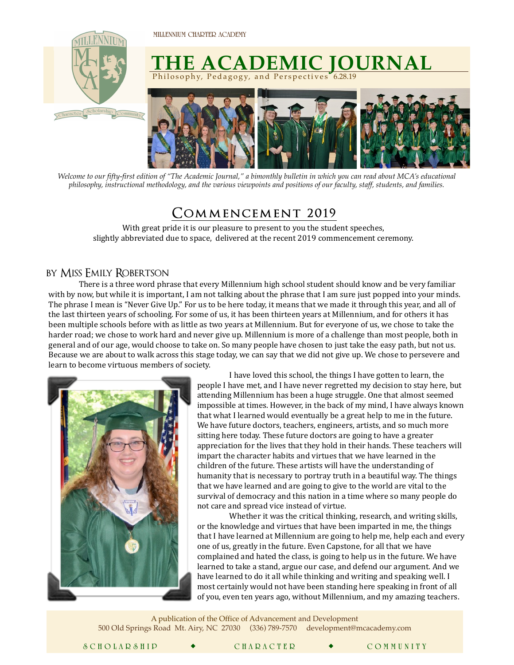**MILLENNIUM CHARTER ACADEMY** 



## **THE ACADEMIC JOURNAL** Philosophy, Pedagogy, and Perspectives 6.28.19



*Welcome to our fifty-first edition of "The Academic Journal," a bimonthly bulletin in which you can read about MCA's educational philosophy, instructional methodology, and the various viewpoints and positions of our faculty, staff, students, and families.* 

## **Commencement 2019˝**

With great pride it is our pleasure to present to you the student speeches, slightly abbreviated due to space, delivered at the recent 2019 commencement ceremony.

## by Miss Emily Robertson

There is a three word phrase that every Millennium high school student should know and be very familiar with by now, but while it is important, I am not talking about the phrase that I am sure just popped into your minds. The phrase I mean is "Never Give Up." For us to be here today, it means that we made it through this year, and all of the last thirteen years of schooling. For some of us, it has been thirteen years at Millennium, and for others it has been multiple schools before with as little as two years at Millennium. But for everyone of us, we chose to take the harder road; we chose to work hard and never give up. Millennium is more of a challenge than most people, both in general and of our age, would choose to take on. So many people have chosen to just take the easy path, but not us. Because we are about to walk across this stage today, we can say that we did not give up. We chose to persevere and learn to become virtuous members of society.



I have loved this school, the things I have gotten to learn, the people I have met, and I have never regretted my decision to stay here, but attending Millennium has been a huge struggle. One that almost seemed impossible at times. However, in the back of my mind, I have always known that what I learned would eventually be a great help to me in the future. We have future doctors, teachers, engineers, artists, and so much more sitting here today. These future doctors are going to have a greater appreciation for the lives that they hold in their hands. These teachers will impart the character habits and virtues that we have learned in the children of the future. These artists will have the understanding of humanity that is necessary to portray truth in a beautiful way. The things that we have learned and are going to give to the world are vital to the survival of democracy and this nation in a time where so many people do not care and spread vice instead of virtue.

Whether it was the critical thinking, research, and writing skills, or the knowledge and virtues that have been imparted in me, the things that I have learned at Millennium are going to help me, help each and every one of us, greatly in the future. Even Capstone, for all that we have complained and hated the class, is going to help us in the future. We have learned to take a stand, argue our case, and defend our argument. And we have learned to do it all while thinking and writing and speaking well. I most certainly would not have been standing here speaking in front of all of you, even ten years ago, without Millennium, and my amazing teachers.

A publication of the Office of Advancement and Development 500 Old Springs Road Mt. Airy, NC 27030 (336) 789-7570 [development@mcacademy.com](mailto:advancementanddevelopment@mcacademy.com)